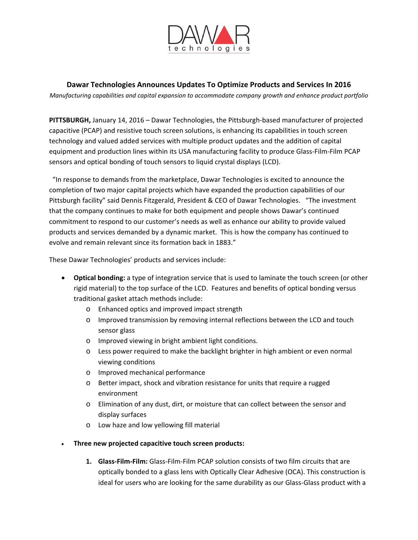

**Dawar Technologies Announces Updates To Optimize Products and Services In 2016**

*Manufacturing capabilities and capital expansion to accommodate company growth and enhance product portfolio*

**PITTSBURGH,** January 14, 2016 – Dawar Technologies, the Pittsburgh‐based manufacturer of projected capacitive (PCAP) and resistive touch screen solutions, is enhancing its capabilities in touch screen technology and valued added services with multiple product updates and the addition of capital equipment and production lines within its USA manufacturing facility to produce Glass-Film-Film PCAP sensors and optical bonding of touch sensors to liquid crystal displays (LCD).

 "In response to demands from the marketplace, Dawar Technologies is excited to announce the completion of two major capital projects which have expanded the production capabilities of our Pittsburgh facility" said Dennis Fitzgerald, President & CEO of Dawar Technologies. "The investment that the company continues to make for both equipment and people shows Dawar's continued commitment to respond to our customer's needs as well as enhance our ability to provide valued products and services demanded by a dynamic market. This is how the company has continued to evolve and remain relevant since its formation back in 1883."

These Dawar Technologies' products and services include:

- **Optical bonding:** a type of integration service that is used to laminate the touch screen (or other rigid material) to the top surface of the LCD. Features and benefits of optical bonding versus traditional gasket attach methods include:
	- o Enhanced optics and improved impact strength
	- o Improved transmission by removing internal reflections between the LCD and touch sensor glass
	- o Improved viewing in bright ambient light conditions.
	- o Less power required to make the backlight brighter in high ambient or even normal viewing conditions
	- o Improved mechanical performance
	- o Better impact, shock and vibration resistance for units that require a rugged environment
	- o Elimination of any dust, dirt, or moisture that can collect between the sensor and display surfaces
	- o Low haze and low yellowing fill material
- **Three new projected capacitive touch screen products:** 
	- **1. Glass‐Film‐Film:** Glass‐Film‐Film PCAP solution consists of two film circuits that are optically bonded to a glass lens with Optically Clear Adhesive (OCA). This construction is ideal for users who are looking for the same durability as our Glass-Glass product with a